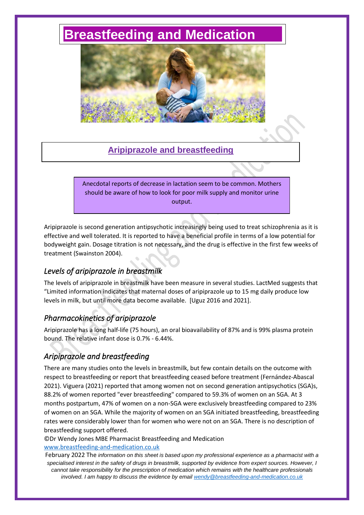# **[Breastfeeding and Medication](http://www.breastfeeding-and-medication.co.uk/)**



## **Aripiprazole and breastfeeding**

Anecdotal reports of decrease in lactation seem to be common. Mothers should be aware of how to look for poor milk supply and monitor urine output.

Aripiprazole is second generation antipsychotic increasingly being used to treat schizophrenia as it is effective and well tolerated. It is reported to have a beneficial profile in terms of a low potential for bodyweight gain. Dosage titration is not necessary, and the drug is effective in the first few weeks of treatment (Swainston 2004).

## *Levels of aripiprazole in breastmilk*

The levels of aripiprazole in breastmilk have been measure in several studies. LactMed suggests that "Limited information indicates that maternal doses of aripiprazole up to 15 mg daily produce low levels in milk, but until more data become available. [Uguz 2016 and 2021].

# *Pharmacokinetics of aripiprazole*

Aripiprazole has a long half-life (75 hours), an oral bioavailability of 87% and is 99% plasma protein bound. The relative infant dose is 0.7% - 6.44%.

# *Aripiprazole and breastfeeding*

There are many studies onto the levels in breastmilk, but few contain details on the outcome with respect to breastfeeding or report that breastfeeding ceased before treatment (Fernández-Abascal 2021). Viguera (2021) reported that among women not on second generation antipsychotics (SGA)s, 88.2% of women reported "ever breastfeeding" compared to 59.3% of women on an SGA. At 3 months postpartum, 47% of women on a non-SGA were exclusively breastfeeding compared to 23% of women on an SGA. While the majority of women on an SGA initiated breastfeeding, breastfeeding rates were considerably lower than for women who were not on an SGA. There is no description of breastfeeding support offered.

©Dr Wendy Jones MBE Pharmacist Breastfeeding and Medication [www.breastfeeding-and-medication.co.uk](http://www.breastfeeding-and-medication.co.uk/)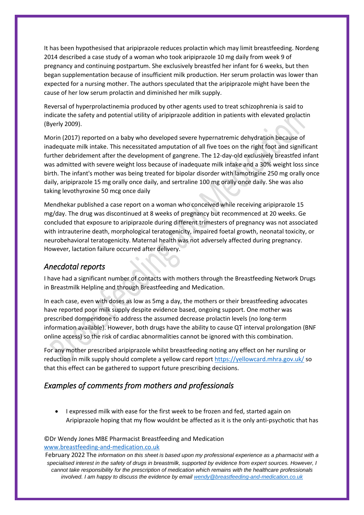It has been hypothesised that aripiprazole reduces prolactin which may limit breastfeeding. Nordeng 2014 described a case study of a woman who took aripiprazole 10 mg daily from week 9 of pregnancy and continuing postpartum. She exclusively breastfed her infant for 6 weeks, but then began supplementation because of insufficient milk production. Her serum prolactin was lower than expected for a nursing mother. The authors speculated that the aripiprazole might have been the cause of her low serum prolactin and diminished her milk supply.

Reversal of hyperprolactinemia produced by other agents used to treat schizophrenia is said to indicate the safety and potential utility of aripiprazole addition in patients with elevated prolactin (Byerly 2009).

Morin (2017) reported on a baby who developed severe hypernatremic dehydration because of inadequate milk intake. This necessitated amputation of all five toes on the right foot and significant further debridement after the development of gangrene. The 12-day-old exclusively breastfed infant was admitted with severe weight loss because of inadequate milk intake and a 30% weight loss since birth. The infant's mother was being treated for bipolar disorder with lamotrigine 250 mg orally once daily, aripiprazole 15 mg orally once daily, and sertraline 100 mg orally once daily. She was also taking levothyroxine 50 mcg once daily

Mendhekar published a case report on a woman who conceived while receiving aripiprazole 15 mg/day. The drug was discontinued at 8 weeks of pregnancy but recommenced at 20 weeks. Ge concluded that exposure to aripiprazole during different trimesters of pregnancy was not associated with intrauterine death, morphological teratogenicity, impaired foetal growth, neonatal toxicity, or neurobehavioral teratogenicity. Maternal health was not adversely affected during pregnancy. However, lactation failure occurred after delivery.

## *Anecdotal reports*

I have had a significant number of contacts with mothers through the Breastfeeding Network Drugs in Breastmilk Helpline and through Breastfeeding and Medication.

In each case, even with doses as low as 5mg a day, the mothers or their breastfeeding advocates have reported poor milk supply despite evidence based, ongoing support. One mother was prescribed domperidone to address the assumed decrease prolactin levels (no long-term information available). However, both drugs have the ability to cause QT interval prolongation (BNF online access) so the risk of cardiac abnormalities cannot be ignored with this combination.

For any mother prescribed aripiprazole whilst breastfeeding noting any effect on her nursling or reduction in milk supply should complete a yellow card report<https://yellowcard.mhra.gov.uk/> so that this effect can be gathered to support future prescribing decisions.

## *Examples of comments from mothers and professionals*

• I expressed milk with ease for the first week to be frozen and fed, started again on Aripiprazole hoping that my flow wouldnt be affected as it is the only anti-psychotic that has

#### ©Dr Wendy Jones MBE Pharmacist Breastfeeding and Medication [www.breastfeeding-and-medication.co.uk](http://www.breastfeeding-and-medication.co.uk/)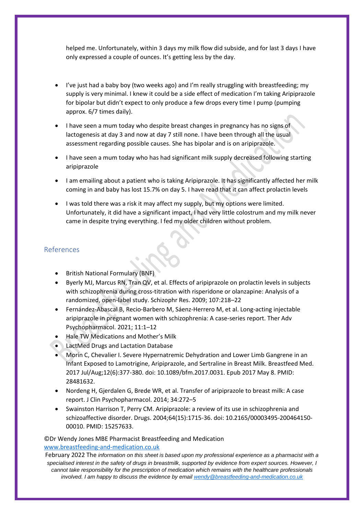helped me. Unfortunately, within 3 days my milk flow did subside, and for last 3 days I have only expressed a couple of ounces. It's getting less by the day.

- I've just had a baby boy (two weeks ago) and I'm really struggling with breastfeeding; my supply is very minimal. I knew it could be a side effect of medication I'm taking Aripiprazole for bipolar but didn't expect to only produce a few drops every time I pump (pumping approx. 6/7 times daily).
- I have seen a mum today who despite breast changes in pregnancy has no signs of lactogenesis at day 3 and now at day 7 still none. I have been through all the usual assessment regarding possible causes. She has bipolar and is on aripiprazole.
- I have seen a mum today who has had significant milk supply decreased following starting aripiprazole
- I am emailing about a patient who is taking Aripiprazole. It has significantly affected her milk coming in and baby has lost 15.7% on day 5. I have read that it can affect prolactin levels
- I was told there was a risk it may affect my supply, but my options were limited. Unfortunately, it did have a significant impact, I had very little colostrum and my milk never came in despite trying everything. I fed my older children without problem.

### References

- British National Formulary (BNF)
- Byerly MJ, Marcus RN, Tran QV, et al. Effects of aripiprazole on prolactin levels in subjects with schizophrenia during cross-titration with risperidone or olanzapine: Analysis of a randomized, open-label study. Schizophr Res. 2009; 107:218–22
- Fernández-Abascal B, Recio-Barbero M, Sáenz-Herrero M, et al. Long-acting injectable aripiprazole in pregnant women with schizophrenia: A case-series report. Ther Adv Psychopharmacol. 2021; 11:1–12
- Hale TW Medications and Mother's Milk
- LactMed Drugs and Lactation Database
- Morin C, Chevalier I. Severe Hypernatremic Dehydration and Lower Limb Gangrene in an Infant Exposed to Lamotrigine, Aripiprazole, and Sertraline in Breast Milk. Breastfeed Med. 2017 Jul/Aug;12(6):377-380. doi: 10.1089/bfm.2017.0031. Epub 2017 May 8. PMID: 28481632.
- Nordeng H, Gjerdalen G, Brede WR, et al. Transfer of aripiprazole to breast milk: A case report. J Clin Psychopharmacol. 2014; 34:272–5
- Swainston Harrison T, Perry CM. Aripiprazole: a review of its use in schizophrenia and schizoaffective disorder. Drugs. 2004;64(15):1715-36. doi: 10.2165/00003495-200464150- 00010. PMID: 15257633.

#### ©Dr Wendy Jones MBE Pharmacist Breastfeeding and Medication [www.breastfeeding-and-medication.co.uk](http://www.breastfeeding-and-medication.co.uk/)